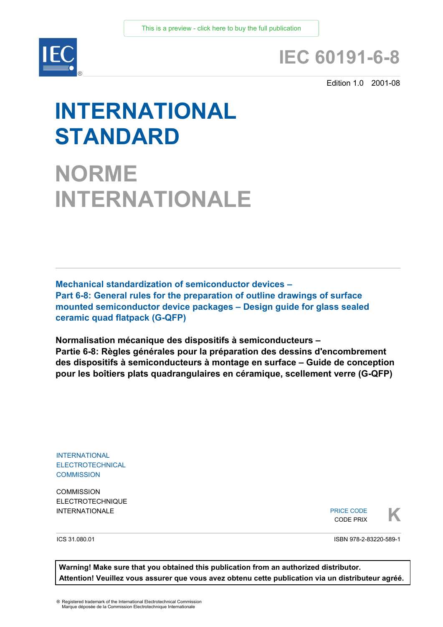

# **IEC 60191-6-8**

Edition 1.0 2001-08

# **INTERNATIONAL STANDARD**

**NORME INTERNATIONALE**

**Mechanical standardization of semiconductor devices – Part 6-8: General rules for the preparation of outline drawings of surface mounted semiconductor device packages – Design guide for glass sealed ceramic quad flatpack (G-QFP)** 

**Normalisation mécanique des dispositifs à semiconducteurs – Partie 6-8: Règles générales pour la préparation des dessins d'encombrement des dispositifs à semiconducteurs à montage en surface – Guide de conception pour les boîtiers plats quadrangulaires en céramique, scellement verre (G-QFP)**

INTERNATIONAL ELECTROTECHNICAL **COMMISSION** 

**COMMISSION** ELECTROTECHNIQUE

INTERNATIONALE PRICE CODE PRIX PRICE CODE CODE PRIX



ICS 31.080.01

ISBN 978-2-83220-589-1

**Warning! Make sure that you obtained this publication from an authorized distributor. Attention! Veuillez vous assurer que vous avez obtenu cette publication via un distributeur agréé.**

® Registered trademark of the International Electrotechnical Commission Marque déposée de la Commission Electrotechnique Internationale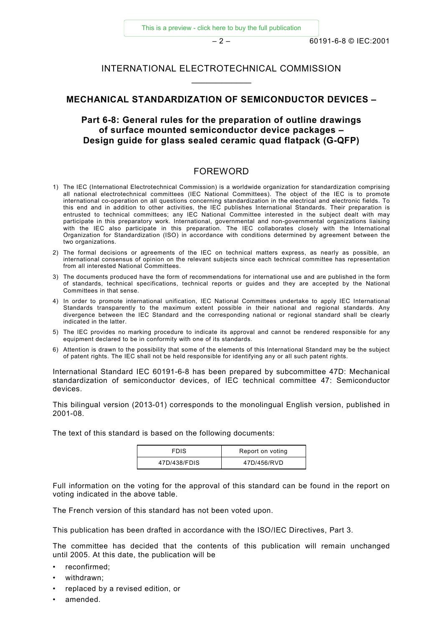## INTERNATIONAL ELECTROTECHNICAL COMMISSION \_\_\_\_\_\_\_\_\_\_\_\_

#### **MECHANICAL STANDARDIZATION OF SEMICONDUCTOR DEVICES –**

# **Part 6-8: General rules for the preparation of outline drawings of surface mounted semiconductor device packages – Design guide for glass sealed ceramic quad flatpack (G-QFP)**

#### FOREWORD

- 1) The IEC (International Electrotechnical Commission) is a worldwide organization for standardization comprising all national electrotechnical committees (IEC National Committees). The object of the IEC is to promote international co-operation on all questions concerning standardization in the electrical and electronic fields. To this end and in addition to other activities, the IEC publishes International Standards. Their preparation is entrusted to technical committees; any IEC National Committee interested in the subject dealt with may participate in this preparatory work. International, governmental and non-governmental organizations liaising with the IEC also participate in this preparation. The IEC collaborates closely with the International Organization for Standardization (ISO) in accordance with conditions determined by agreement between the two organizations.
- 2) The formal decisions or agreements of the IEC on technical matters express, as nearly as possible, an international consensus of opinion on the relevant subjects since each technical committee has representation from all interested National Committees.
- 3) The documents produced have the form of recommendations for international use and are published in the form of standards, technical specifications, technical reports or guides and they are accepted by the National Committees in that sense.
- 4) In order to promote international unification, IEC National Committees undertake to apply IEC International Standards transparently to the maximum extent possible in their national and regional standards. Any divergence between the IEC Standard and the corresponding national or regional standard shall be clearly indicated in the latter.
- 5) The IEC provides no marking procedure to indicate its approval and cannot be rendered responsible for any equipment declared to be in conformity with one of its standards.
- 6) Attention is drawn to the possibility that some of the elements of this International Standard may be the subject of patent rights. The IEC shall not be held responsible for identifying any or all such patent rights.

International Standard IEC 60191-6-8 has been prepared by subcommittee 47D: Mechanical standardization of semiconductor devices, of IEC technical committee 47: Semiconductor devices.

This bilingual version (2013-01) corresponds to the monolingual English version, published in 2001-08.

The text of this standard is based on the following documents:

| FDIS         | Report on voting |
|--------------|------------------|
| 47D/438/FDIS | 47D/456/RVD      |

Full information on the voting for the approval of this standard can be found in the report on voting indicated in the above table.

The French version of this standard has not been voted upon.

This publication has been drafted in accordance with the ISO/IEC Directives, Part 3.

The committee has decided that the contents of this publication will remain unchanged until 2005. At this date, the publication will be

- reconfirmed;
- withdrawn;
- replaced by a revised edition, or
- amended.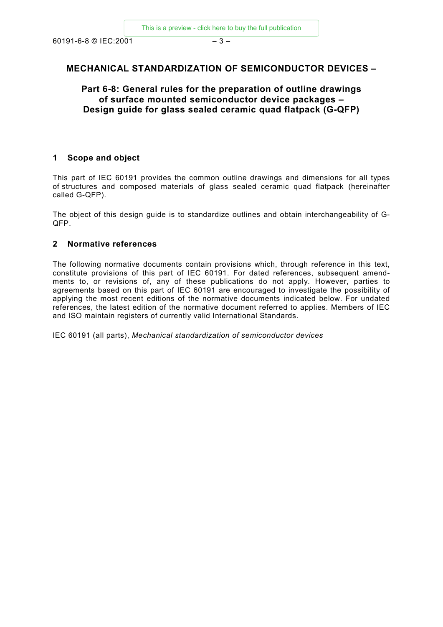# **MECHANICAL STANDARDIZATION OF SEMICONDUCTOR DEVICES –**

# **Part 6-8: General rules for the preparation of outline drawings of surface mounted semiconductor device packages – Design guide for glass sealed ceramic quad flatpack (G-QFP)**

#### **1 Scope and object**

This part of IEC 60191 provides the common outline drawings and dimensions for all types of structures and composed materials of glass sealed ceramic quad flatpack (hereinafter called G-QFP).

The object of this design guide is to standardize outlines and obtain interchangeability of G-QFP.

#### **2 Normative references**

The following normative documents contain provisions which, through reference in this text, constitute provisions of this part of IEC 60191. For dated references, subsequent amendments to, or revisions of, any of these publications do not apply. However, parties to agreements based on this part of IEC 60191 are encouraged to investigate the possibility of applying the most recent editions of the normative documents indicated below. For undated references, the latest edition of the normative document referred to applies. Members of IEC and ISO maintain registers of currently valid International Standards.

IEC 60191 (all parts), *Mechanical standardization of semiconductor devices*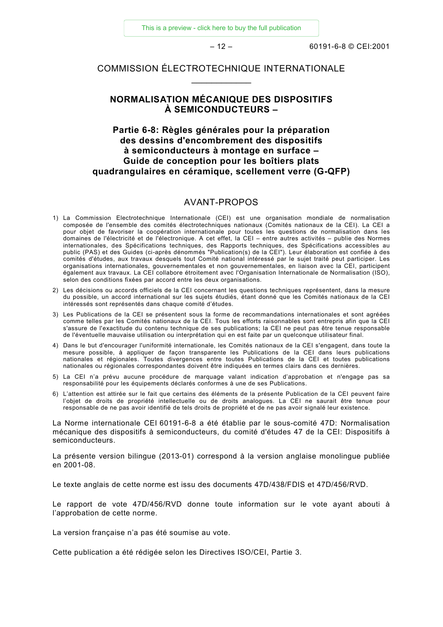[This is a preview - click here to buy the full publication](https://webstore.iec.ch/publication/1011&preview=1)

– 12 – 60191-6-8 © CEI:2001

# COMMISSION ÉLECTROTECHNIQUE INTERNATIONALE \_\_\_\_\_\_\_\_\_\_\_\_

# **NORMALISATION MÉCANIQUE DES DISPOSITIFS À SEMICONDUCTEURS –**

## **Partie 6-8: Règles générales pour la préparation des dessins d'encombrement des dispositifs à semiconducteurs à montage en surface – Guide de conception pour les boîtiers plats quadrangulaires en céramique, scellement verre (G-QFP)**

#### AVANT-PROPOS

- 1) La Commission Electrotechnique Internationale (CEI) est une organisation mondiale de normalisation composée de l'ensemble des comités électrotechniques nationaux (Comités nationaux de la CEI). La CEI a pour objet de favoriser la coopération internationale pour toutes les questions de normalisation dans les domaines de l'électricité et de l'électronique. A cet effet, la CEI – entre autres activités – publie des Normes internationales, des Spécifications techniques, des Rapports techniques, des Spécifications accessibles au public (PAS) et des Guides (ci-après dénommés "Publication(s) de la CEI"). Leur élaboration est confiée à des comités d'études, aux travaux desquels tout Comité national intéressé par le sujet traité peut participer. Les organisations internationales, gouvernementales et non gouvernementales, en liaison avec la CEI, participent également aux travaux. La CEI collabore étroitement avec l'Organisation Internationale de Normalisation (ISO), selon des conditions fixées par accord entre les deux organisations.
- 2) Les décisions ou accords officiels de la CEI concernant les questions techniques représentent, dans la mesure du possible, un accord international sur les sujets étudiés, étant donné que les Comités nationaux de la CEI intéressés sont représentés dans chaque comité d'études.
- 3) Les Publications de la CEI se présentent sous la forme de recommandations internationales et sont agréées comme telles par les Comités nationaux de la CEI. Tous les efforts raisonnables sont entrepris afin que la CEI s'assure de l'exactitude du contenu technique de ses publications; la CEI ne peut pas être tenue responsable de l'éventuelle mauvaise utilisation ou interprétation qui en est faite par un quelconque utilisateur final.
- 4) Dans le but d'encourager l'uniformité internationale, les Comités nationaux de la CEI s'engagent, dans toute la mesure possible, à appliquer de façon transparente les Publications de la CEI dans leurs publications nationales et régionales. Toutes divergences entre toutes Publications de la CEI et toutes publications nationales ou régionales correspondantes doivent être indiquées en termes clairs dans ces dernières.
- 5) La CEI n'a prévu aucune procédure de marquage valant indication d'approbation et n'engage pas sa responsabilité pour les équipements déclarés conformes à une de ses Publications.
- 6) L'attention est attirée sur le fait que certains des éléments de la présente Publication de la CEI peuvent faire l'objet de droits de propriété intellectuelle ou de droits analogues. La CEI ne saurait être tenue pour responsable de ne pas avoir identifié de tels droits de propriété et de ne pas avoir signalé leur existence.

La Norme internationale CEI 60191-6-8 a été établie par le sous-comité 47D: Normalisation mécanique des dispositifs à semiconducteurs, du comité d'études 47 de la CEI: Dispositifs à semiconducteurs.

La présente version bilingue (2013-01) correspond à la version anglaise monolingue publiée en 2001-08.

Le texte anglais de cette norme est issu des documents 47D/438/FDIS et 47D/456/RVD.

Le rapport de vote 47D/456/RVD donne toute information sur le vote ayant abouti à l'approbation de cette norme.

La version française n'a pas été soumise au vote.

Cette publication a été rédigée selon les Directives ISO/CEI, Partie 3.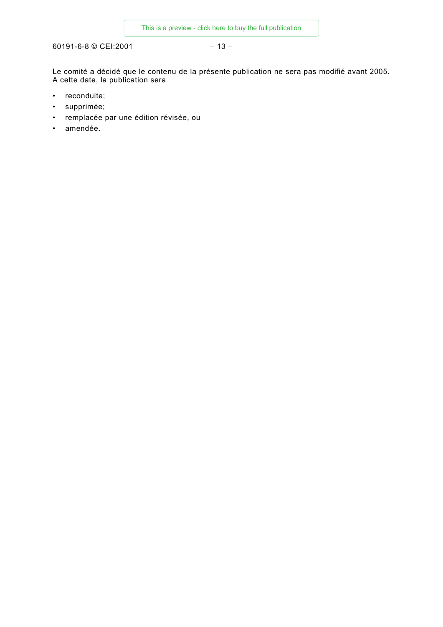60191-6-8 © CEI:2001 - 13 -

Le comité a décidé que le contenu de la présente publication ne sera pas modifié avant 2005. A cette date, la publication sera

- reconduite;
- supprimée;
- remplacée par une édition révisée, ou
- amendée.